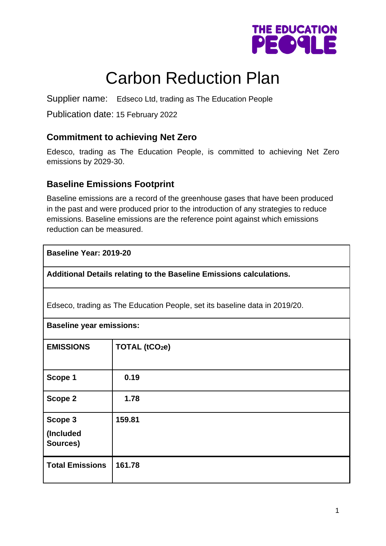

# Carbon Reduction Plan

Supplier name: Edseco Ltd, trading as The Education People

Publication date: 15 February 2022

## **Commitment to achieving Net Zero**

Edesco, trading as The Education People, is committed to achieving Net Zero emissions by 2029-30.

#### **Baseline Emissions Footprint**

Baseline emissions are a record of the greenhouse gases that have been produced in the past and were produced prior to the introduction of any strategies to reduce emissions. Baseline emissions are the reference point against which emissions reduction can be measured.

| Baseline Year: 2019-20                                                     |                            |  |
|----------------------------------------------------------------------------|----------------------------|--|
| Additional Details relating to the Baseline Emissions calculations.        |                            |  |
| Edseco, trading as The Education People, set its baseline data in 2019/20. |                            |  |
| <b>Baseline year emissions:</b>                                            |                            |  |
| <b>EMISSIONS</b>                                                           | TOTAL (tCO <sub>2</sub> e) |  |
| Scope 1                                                                    | 0.19                       |  |
| Scope 2                                                                    | 1.78                       |  |
| Scope 3                                                                    | 159.81                     |  |
| (Included<br>Sources)                                                      |                            |  |
| <b>Total Emissions</b>                                                     | 161.78                     |  |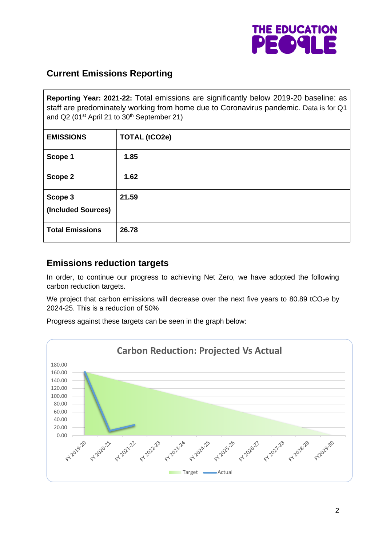

## **Current Emissions Reporting**

**Reporting Year: 2021-22:** Total emissions are significantly below 2019-20 baseline: as staff are predominately working from home due to Coronavirus pandemic. Data is for Q1 and Q2 (01st April 21 to  $30<sup>th</sup>$  September 21)

| <b>EMISSIONS</b>              | <b>TOTAL (tCO2e)</b> |
|-------------------------------|----------------------|
| Scope 1                       | 1.85                 |
| Scope 2                       | 1.62                 |
| Scope 3<br>(Included Sources) | 21.59                |
| <b>Total Emissions</b>        | 26.78                |

#### **Emissions reduction targets**

In order, to continue our progress to achieving Net Zero, we have adopted the following carbon reduction targets.

We project that carbon emissions will decrease over the next five years to 80.89 tCO<sub>2</sub>e by 2024-25. This is a reduction of 50%

Progress against these targets can be seen in the graph below:

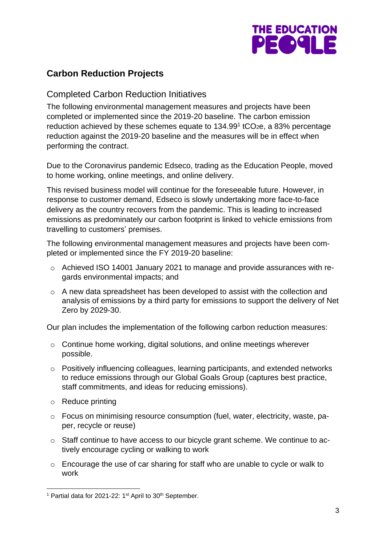

## **Carbon Reduction Projects**

### Completed Carbon Reduction Initiatives

The following environmental management measures and projects have been completed or implemented since the 2019-20 baseline. The carbon emission reduction achieved by these schemes equate to 134.99<sup>1</sup> tCO<sub>2</sub>e, a 83% percentage reduction against the 2019-20 baseline and the measures will be in effect when performing the contract.

Due to the Coronavirus pandemic Edseco, trading as the Education People, moved to home working, online meetings, and online delivery.

This revised business model will continue for the foreseeable future. However, in response to customer demand, Edseco is slowly undertaking more face-to-face delivery as the country recovers from the pandemic. This is leading to increased emissions as predominately our carbon footprint is linked to vehicle emissions from travelling to customers' premises.

The following environmental management measures and projects have been completed or implemented since the FY 2019-20 baseline:

- o Achieved ISO 14001 January 2021 to manage and provide assurances with regards environmental impacts; and
- o A new data spreadsheet has been developed to assist with the collection and analysis of emissions by a third party for emissions to support the delivery of Net Zero by 2029-30.

Our plan includes the implementation of the following carbon reduction measures:

- o Continue home working, digital solutions, and online meetings wherever possible.
- o Positively influencing colleagues, learning participants, and extended networks to reduce emissions through our Global Goals Group (captures best practice, staff commitments, and ideas for reducing emissions).
- o Reduce printing
- o Focus on minimising resource consumption (fuel, water, electricity, waste, paper, recycle or reuse)
- $\circ$  Staff continue to have access to our bicycle grant scheme. We continue to actively encourage cycling or walking to work
- o Encourage the use of car sharing for staff who are unable to cycle or walk to work

<sup>&</sup>lt;sup>1</sup> Partial data for 2021-22: 1<sup>st</sup> April to 30<sup>th</sup> September.